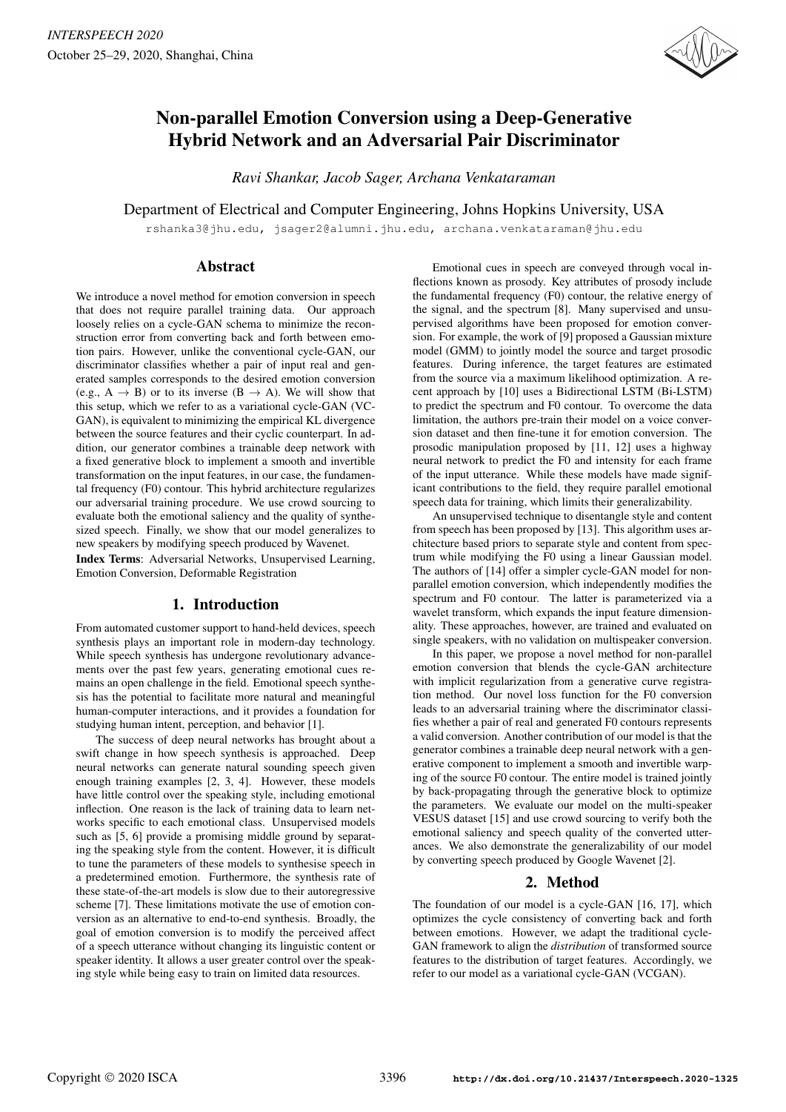

# Non-parallel Emotion Conversion using a Deep-Generative Hybrid Network and an Adversarial Pair Discriminator

*Ravi Shankar, Jacob Sager, Archana Venkataraman*

Department of Electrical and Computer Engineering, Johns Hopkins University, USA

rshanka3@jhu.edu, jsager2@alumni.jhu.edu, archana.venkataraman@jhu.edu

## Abstract

We introduce a novel method for emotion conversion in speech that does not require parallel training data. Our approach loosely relies on a cycle-GAN schema to minimize the reconstruction error from converting back and forth between emotion pairs. However, unlike the conventional cycle-GAN, our discriminator classifies whether a pair of input real and generated samples corresponds to the desired emotion conversion (e.g.,  $A \rightarrow B$ ) or to its inverse ( $B \rightarrow A$ ). We will show that this setup, which we refer to as a variational cycle-GAN (VC-GAN), is equivalent to minimizing the empirical KL divergence between the source features and their cyclic counterpart. In addition, our generator combines a trainable deep network with a fixed generative block to implement a smooth and invertible transformation on the input features, in our case, the fundamental frequency (F0) contour. This hybrid architecture regularizes our adversarial training procedure. We use crowd sourcing to evaluate both the emotional saliency and the quality of synthesized speech. Finally, we show that our model generalizes to new speakers by modifying speech produced by Wavenet.

Index Terms: Adversarial Networks, Unsupervised Learning, Emotion Conversion, Deformable Registration

# 1. Introduction

From automated customer support to hand-held devices, speech synthesis plays an important role in modern-day technology. While speech synthesis has undergone revolutionary advancements over the past few years, generating emotional cues remains an open challenge in the field. Emotional speech synthesis has the potential to facilitate more natural and meaningful human-computer interactions, and it provides a foundation for studying human intent, perception, and behavior [1].

The success of deep neural networks has brought about a swift change in how speech synthesis is approached. Deep neural networks can generate natural sounding speech given enough training examples [2, 3, 4]. However, these models have little control over the speaking style, including emotional inflection. One reason is the lack of training data to learn networks specific to each emotional class. Unsupervised models such as [5, 6] provide a promising middle ground by separating the speaking style from the content. However, it is difficult to tune the parameters of these models to synthesise speech in a predetermined emotion. Furthermore, the synthesis rate of these state-of-the-art models is slow due to their autoregressive scheme [7]. These limitations motivate the use of emotion conversion as an alternative to end-to-end synthesis. Broadly, the goal of emotion conversion is to modify the perceived affect of a speech utterance without changing its linguistic content or speaker identity. It allows a user greater control over the speaking style while being easy to train on limited data resources.

Emotional cues in speech are conveyed through vocal inflections known as prosody. Key attributes of prosody include the fundamental frequency (F0) contour, the relative energy of the signal, and the spectrum [8]. Many supervised and unsupervised algorithms have been proposed for emotion conversion. For example, the work of [9] proposed a Gaussian mixture model (GMM) to jointly model the source and target prosodic features. During inference, the target features are estimated from the source via a maximum likelihood optimization. A recent approach by [10] uses a Bidirectional LSTM (Bi-LSTM) to predict the spectrum and F0 contour. To overcome the data limitation, the authors pre-train their model on a voice conversion dataset and then fine-tune it for emotion conversion. The prosodic manipulation proposed by [11, 12] uses a highway neural network to predict the F0 and intensity for each frame of the input utterance. While these models have made significant contributions to the field, they require parallel emotional speech data for training, which limits their generalizability.

An unsupervised technique to disentangle style and content from speech has been proposed by [13]. This algorithm uses architecture based priors to separate style and content from spectrum while modifying the F0 using a linear Gaussian model. The authors of [14] offer a simpler cycle-GAN model for nonparallel emotion conversion, which independently modifies the spectrum and F0 contour. The latter is parameterized via a wavelet transform, which expands the input feature dimensionality. These approaches, however, are trained and evaluated on single speakers, with no validation on multispeaker conversion.

In this paper, we propose a novel method for non-parallel emotion conversion that blends the cycle-GAN architecture with implicit regularization from a generative curve registration method. Our novel loss function for the F0 conversion leads to an adversarial training where the discriminator classifies whether a pair of real and generated F0 contours represents a valid conversion. Another contribution of our model is that the generator combines a trainable deep neural network with a generative component to implement a smooth and invertible warping of the source F0 contour. The entire model is trained jointly by back-propagating through the generative block to optimize the parameters. We evaluate our model on the multi-speaker VESUS dataset [15] and use crowd sourcing to verify both the emotional saliency and speech quality of the converted utterances. We also demonstrate the generalizability of our model by converting speech produced by Google Wavenet [2].

## 2. Method

The foundation of our model is a cycle-GAN [16, 17], which optimizes the cycle consistency of converting back and forth between emotions. However, we adapt the traditional cycle-GAN framework to align the *distribution* of transformed source features to the distribution of target features. Accordingly, we refer to our model as a variational cycle-GAN (VCGAN).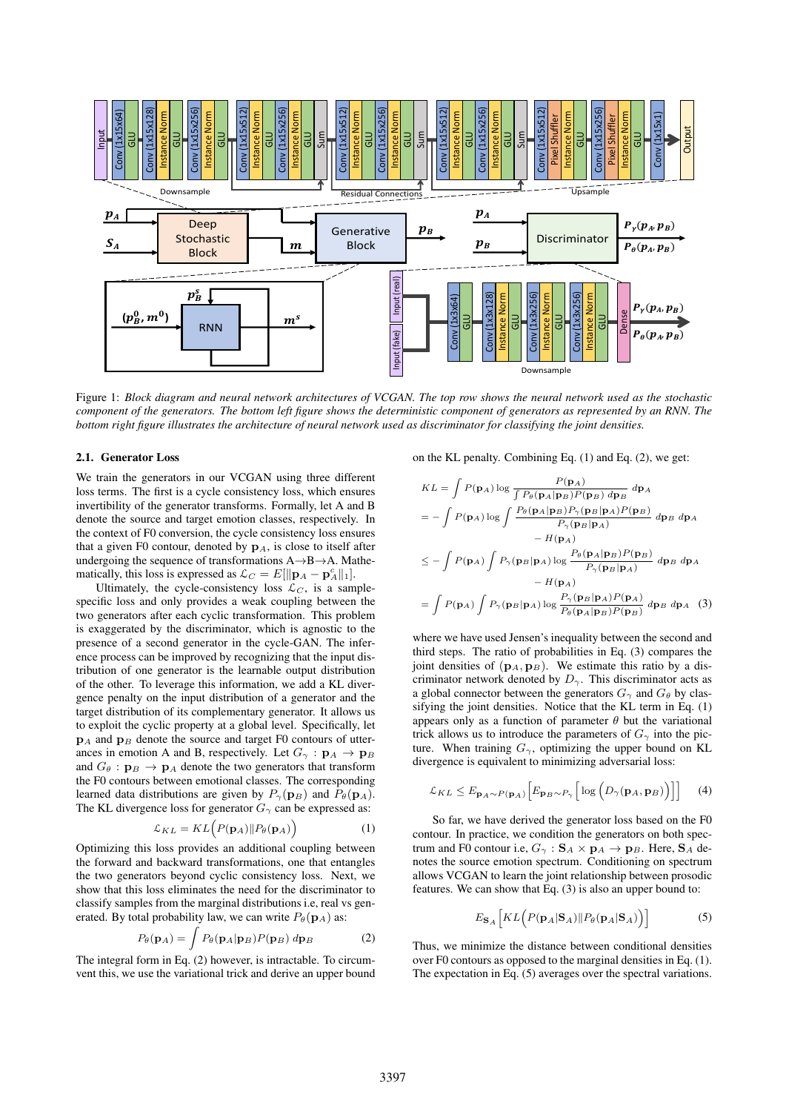

Figure 1: *Block diagram and neural network architectures of VCGAN. The top row shows the neural network used as the stochastic component of the generators. The bottom left figure shows the deterministic component of generators as represented by an RNN. The bottom right figure illustrates the architecture of neural network used as discriminator for classifying the joint densities.*

#### 2.1. Generator Loss

We train the generators in our VCGAN using three different loss terms. The first is a cycle consistency loss, which ensures invertibility of the generator transforms. Formally, let A and B denote the source and target emotion classes, respectively. In the context of F0 conversion, the cycle consistency loss ensures that a given F0 contour, denoted by  $\mathbf{p}_A$ , is close to itself after undergoing the sequence of transformations  $A \rightarrow B \rightarrow A$ . Mathematically, this loss is expressed as  $\mathcal{L}_C = E[\|\mathbf{p}_A - \mathbf{p}_A^c\|_1].$ 

Ultimately, the cycle-consistency loss  $\mathcal{L}_C$ , is a samplespecific loss and only provides a weak coupling between the two generators after each cyclic transformation. This problem is exaggerated by the discriminator, which is agnostic to the presence of a second generator in the cycle-GAN. The inference process can be improved by recognizing that the input distribution of one generator is the learnable output distribution of the other. To leverage this information, we add a KL divergence penalty on the input distribution of a generator and the target distribution of its complementary generator. It allows us to exploit the cyclic property at a global level. Specifically, let  $\mathbf{p}_A$  and  $\mathbf{p}_B$  denote the source and target F0 contours of utterances in emotion A and B, respectively. Let  $G_{\gamma} : \mathbf{p}_A \to \mathbf{p}_B$ and  $G_{\theta}$ :  $\mathbf{p}_{B} \rightarrow \mathbf{p}_{A}$  denote the two generators that transform the F0 contours between emotional classes. The corresponding learned data distributions are given by  $P_{\gamma}(\mathbf{p}_B)$  and  $P_{\theta}(\mathbf{p}_A)$ . The KL divergence loss for generator  $G_{\gamma}$  can be expressed as:

$$
\mathcal{L}_{KL} = KL\Big(P(\mathbf{p}_A) \| P_\theta(\mathbf{p}_A)\Big) \tag{1}
$$

Optimizing this loss provides an additional coupling between the forward and backward transformations, one that entangles the two generators beyond cyclic consistency loss. Next, we show that this loss eliminates the need for the discriminator to classify samples from the marginal distributions i.e, real vs generated. By total probability law, we can write  $P_{\theta}(\mathbf{p}_A)$  as:

$$
P_{\theta}(\mathbf{p}_A) = \int P_{\theta}(\mathbf{p}_A|\mathbf{p}_B) P(\mathbf{p}_B) \, d\mathbf{p}_B \tag{2}
$$

The integral form in Eq. (2) however, is intractable. To circumvent this, we use the variational trick and derive an upper bound on the KL penalty. Combining Eq. (1) and Eq. (2), we get:

$$
KL = \int P(\mathbf{p}_A) \log \frac{P(\mathbf{p}_A)}{\int P_\theta(\mathbf{p}_A|\mathbf{p}_B)P(\mathbf{p}_B) d\mathbf{p}_B} d\mathbf{p}_A
$$
  
=  $-\int P(\mathbf{p}_A) \log \int \frac{P_\theta(\mathbf{p}_A|\mathbf{p}_B)P_\gamma(\mathbf{p}_B|\mathbf{p}_A)P(\mathbf{p}_B)}{P_\gamma(\mathbf{p}_B|\mathbf{p}_A)} d\mathbf{p}_B d\mathbf{p}_A$   
 $-H(\mathbf{p}_A)$   
 $\leq -\int P(\mathbf{p}_A) \int P_\gamma(\mathbf{p}_B|\mathbf{p}_A) \log \frac{P_\theta(\mathbf{p}_A|\mathbf{p}_B)P(\mathbf{p}_B)}{P_\gamma(\mathbf{p}_B|\mathbf{p}_A)} d\mathbf{p}_B d\mathbf{p}_A$   
 $-H(\mathbf{p}_A)$   
 $= \int P(\mathbf{p}_A) \int P_\gamma(\mathbf{p}_B|\mathbf{p}_A) \log \frac{P_\gamma(\mathbf{p}_B|\mathbf{p}_A)P(\mathbf{p}_A)}{P_\theta(\mathbf{p}_A|\mathbf{p}_B)P(\mathbf{p}_B)} d\mathbf{p}_B d\mathbf{p}_A$  (3)

where we have used Jensen's inequality between the second and third steps. The ratio of probabilities in Eq. (3) compares the joint densities of  $({\bf p}_A, {\bf p}_B)$ . We estimate this ratio by a discriminator network denoted by  $D_{\gamma}$ . This discriminator acts as a global connector between the generators  $G_{\gamma}$  and  $G_{\theta}$  by classifying the joint densities. Notice that the KL term in Eq. (1) appears only as a function of parameter  $\theta$  but the variational trick allows us to introduce the parameters of  $G_{\gamma}$  into the picture. When training  $G_{\gamma}$ , optimizing the upper bound on KL divergence is equivalent to minimizing adversarial loss:

$$
\mathcal{L}_{KL} \leq E_{\mathbf{p}_A \sim P(\mathbf{p}_A)} \Big[ E_{\mathbf{p}_B \sim P_\gamma} \Big[ \log \Big( D_\gamma(\mathbf{p}_A, \mathbf{p}_B) \Big) \Big] \Big] \tag{4}
$$

So far, we have derived the generator loss based on the F0 contour. In practice, we condition the generators on both spectrum and F0 contour i.e,  $G_{\gamma}$ :  $S_A \times p_A \rightarrow p_B$ . Here,  $S_A$  denotes the source emotion spectrum. Conditioning on spectrum allows VCGAN to learn the joint relationship between prosodic features. We can show that Eq. (3) is also an upper bound to:

$$
E_{\mathbf{S}_A} \Big[ KL \Big( P(\mathbf{p}_A | \mathbf{S}_A) || P_{\theta}(\mathbf{p}_A | \mathbf{S}_A) \Big) \Big] \tag{5}
$$

Thus, we minimize the distance between conditional densities over F0 contours as opposed to the marginal densities in Eq. (1). The expectation in Eq. (5) averages over the spectral variations.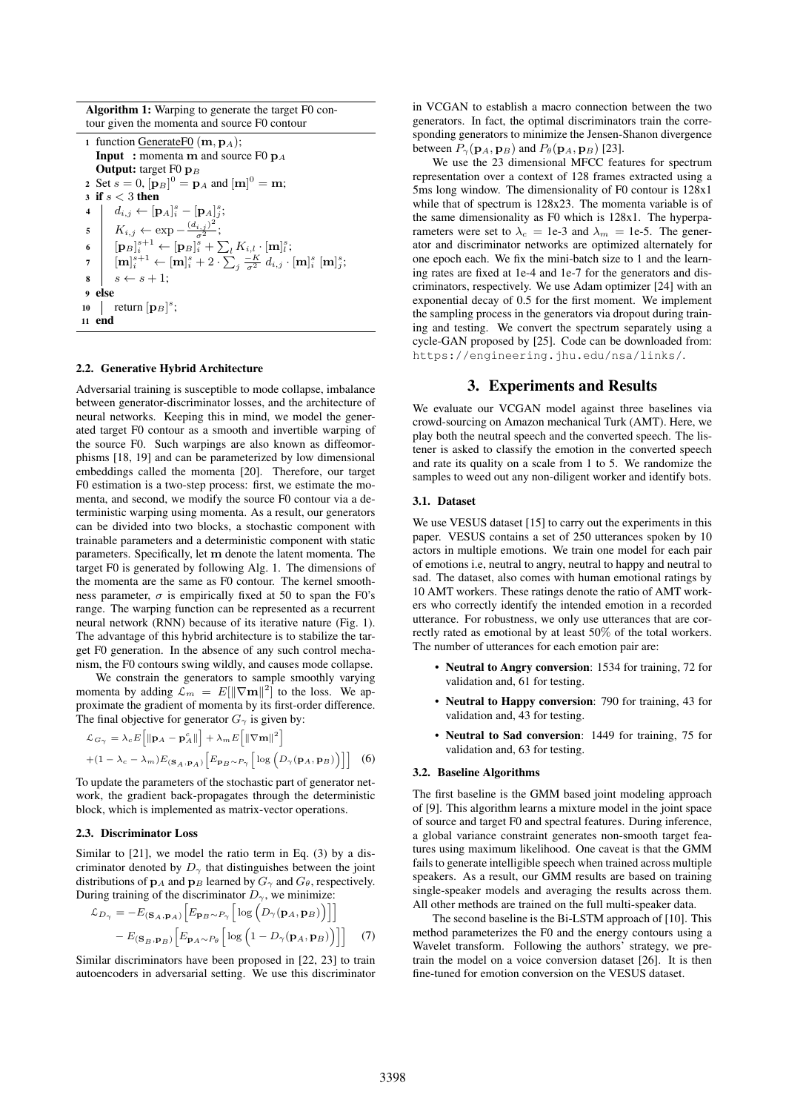Algorithm 1: Warping to generate the target F0 contour given the momenta and source F0 contour

| 1 function GenerateF0 ( $\mathbf{m}, \mathbf{p}_A$ );                                                                                                                                                                                                                                                                                                                                                                            |
|----------------------------------------------------------------------------------------------------------------------------------------------------------------------------------------------------------------------------------------------------------------------------------------------------------------------------------------------------------------------------------------------------------------------------------|
| <b>Input</b> : momenta m and source F0 $p_A$                                                                                                                                                                                                                                                                                                                                                                                     |
| <b>Output:</b> target F0 $\mathbf{p}_B$                                                                                                                                                                                                                                                                                                                                                                                          |
| 2 Set $s = 0$ , $[{\bf p}_B]^0 = {\bf p}_A$ and $[{\bf m}]^0 = {\bf m}$ ;                                                                                                                                                                                                                                                                                                                                                        |
| 3 if $s < 3$ then                                                                                                                                                                                                                                                                                                                                                                                                                |
|                                                                                                                                                                                                                                                                                                                                                                                                                                  |
| $\begin{array}{ll} \textbf{4} & d_{i,j} \leftarrow [\mathbf{p}_A]_i^s - [\mathbf{p}_A]_j^s; \\ \textbf{5} & K_{i,j} \leftarrow \exp{-\frac{(d_{i,j})^2}{\sigma^2}}; \\ \textbf{6} & [\mathbf{p}_B]_i^{s+1} \leftarrow [\mathbf{p}_B]_i^s + \sum_{l} K_{i,l} \cdot [\mathbf{m}]_l^s; \\ \textbf{7} & [\mathbf{m}]_i^{s+1} \leftarrow [\mathbf{m}]_i^s + 2 \cdot \sum_{j} \frac{-K}{\sigma^2} \; d_{i,j} \cdot [\mathbf{m}]_i^s \$ |
|                                                                                                                                                                                                                                                                                                                                                                                                                                  |
|                                                                                                                                                                                                                                                                                                                                                                                                                                  |
|                                                                                                                                                                                                                                                                                                                                                                                                                                  |
| <sup>9</sup> else                                                                                                                                                                                                                                                                                                                                                                                                                |
| 10   return $[\mathbf{p}_B]^s$ ;                                                                                                                                                                                                                                                                                                                                                                                                 |
| 11 end                                                                                                                                                                                                                                                                                                                                                                                                                           |

#### 2.2. Generative Hybrid Architecture

Adversarial training is susceptible to mode collapse, imbalance between generator-discriminator losses, and the architecture of neural networks. Keeping this in mind, we model the generated target F0 contour as a smooth and invertible warping of the source F0. Such warpings are also known as diffeomorphisms [18, 19] and can be parameterized by low dimensional embeddings called the momenta [20]. Therefore, our target F0 estimation is a two-step process: first, we estimate the momenta, and second, we modify the source F0 contour via a deterministic warping using momenta. As a result, our generators can be divided into two blocks, a stochastic component with trainable parameters and a deterministic component with static parameters. Specifically, let m denote the latent momenta. The target F0 is generated by following Alg. 1. The dimensions of the momenta are the same as F0 contour. The kernel smoothness parameter,  $\sigma$  is empirically fixed at 50 to span the F0's range. The warping function can be represented as a recurrent neural network (RNN) because of its iterative nature (Fig. 1). The advantage of this hybrid architecture is to stabilize the target F0 generation. In the absence of any such control mechanism, the F0 contours swing wildly, and causes mode collapse.

We constrain the generators to sample smoothly varying momenta by adding  $\mathcal{L}_m = E[||\nabla \mathbf{m}||^2]$  to the loss. We approximate the gradient of momenta by its first-order difference. The final objective for generator  $G_{\gamma}$  is given by:

$$
\mathcal{L}_{G_{\gamma}} = \lambda_c E \left[ \|\mathbf{p}_A - \mathbf{p}_A^c\| \right] + \lambda_m E \left[ \|\nabla \mathbf{m}\|^2 \right]
$$

$$
+ (1 - \lambda_c - \lambda_m) E_{(\mathbf{S}_A, \mathbf{p}_A)} \left[ E_{\mathbf{p}_B \sim P_{\gamma}} \left[ \log \left( D_{\gamma}(\mathbf{p}_A, \mathbf{p}_B) \right) \right] \right] \tag{6}
$$

To update the parameters of the stochastic part of generator network, the gradient back-propagates through the deterministic block, which is implemented as matrix-vector operations.

#### 2.3. Discriminator Loss

Similar to [21], we model the ratio term in Eq. (3) by a discriminator denoted by  $D_{\gamma}$  that distinguishes between the joint distributions of  $\mathbf{p}_A$  and  $\mathbf{p}_B$  learned by  $G_\gamma$  and  $G_\theta$ , respectively. During training of the discriminator  $D_{\gamma}$ , we minimize:

$$
\mathcal{L}_{D_{\gamma}} = -E_{(\mathbf{S}_{A}, \mathbf{p}_{A})} \left[ E_{\mathbf{p}_{B} \sim P_{\gamma}} \left[ \log \left( D_{\gamma}(\mathbf{p}_{A}, \mathbf{p}_{B}) \right) \right] \right]
$$

$$
- E_{(\mathbf{S}_{B}, \mathbf{p}_{B})} \left[ E_{\mathbf{p}_{A} \sim P_{\theta}} \left[ \log \left( 1 - D_{\gamma}(\mathbf{p}_{A}, \mathbf{p}_{B}) \right) \right] \right] \tag{7}
$$

Similar discriminators have been proposed in [22, 23] to train autoencoders in adversarial setting. We use this discriminator in VCGAN to establish a macro connection between the two generators. In fact, the optimal discriminators train the corresponding generators to minimize the Jensen-Shanon divergence between  $P_{\gamma}(\mathbf{p}_A, \mathbf{p}_B)$  and  $P_{\theta}(\mathbf{p}_A, \mathbf{p}_B)$  [23].

We use the 23 dimensional MFCC features for spectrum representation over a context of 128 frames extracted using a 5ms long window. The dimensionality of F0 contour is 128x1 while that of spectrum is 128x23. The momenta variable is of the same dimensionality as F0 which is 128x1. The hyperparameters were set to  $\lambda_c = 1e-3$  and  $\lambda_m = 1e-5$ . The generator and discriminator networks are optimized alternately for one epoch each. We fix the mini-batch size to 1 and the learning rates are fixed at 1e-4 and 1e-7 for the generators and discriminators, respectively. We use Adam optimizer [24] with an exponential decay of 0.5 for the first moment. We implement the sampling process in the generators via dropout during training and testing. We convert the spectrum separately using a cycle-GAN proposed by [25]. Code can be downloaded from: https://engineering.jhu.edu/nsa/links/.

## 3. Experiments and Results

We evaluate our VCGAN model against three baselines via crowd-sourcing on Amazon mechanical Turk (AMT). Here, we play both the neutral speech and the converted speech. The listener is asked to classify the emotion in the converted speech and rate its quality on a scale from 1 to 5. We randomize the samples to weed out any non-diligent worker and identify bots.

#### 3.1. Dataset

We use VESUS dataset [15] to carry out the experiments in this paper. VESUS contains a set of 250 utterances spoken by 10 actors in multiple emotions. We train one model for each pair of emotions i.e, neutral to angry, neutral to happy and neutral to sad. The dataset, also comes with human emotional ratings by 10 AMT workers. These ratings denote the ratio of AMT workers who correctly identify the intended emotion in a recorded utterance. For robustness, we only use utterances that are correctly rated as emotional by at least 50% of the total workers. The number of utterances for each emotion pair are:

- Neutral to Angry conversion: 1534 for training, 72 for validation and, 61 for testing.
- Neutral to Happy conversion: 790 for training, 43 for validation and, 43 for testing.
- Neutral to Sad conversion: 1449 for training, 75 for validation and, 63 for testing.

#### 3.2. Baseline Algorithms

The first baseline is the GMM based joint modeling approach of [9]. This algorithm learns a mixture model in the joint space of source and target F0 and spectral features. During inference, a global variance constraint generates non-smooth target features using maximum likelihood. One caveat is that the GMM fails to generate intelligible speech when trained across multiple speakers. As a result, our GMM results are based on training single-speaker models and averaging the results across them. All other methods are trained on the full multi-speaker data.

The second baseline is the Bi-LSTM approach of [10]. This method parameterizes the F0 and the energy contours using a Wavelet transform. Following the authors' strategy, we pretrain the model on a voice conversion dataset [26]. It is then fine-tuned for emotion conversion on the VESUS dataset.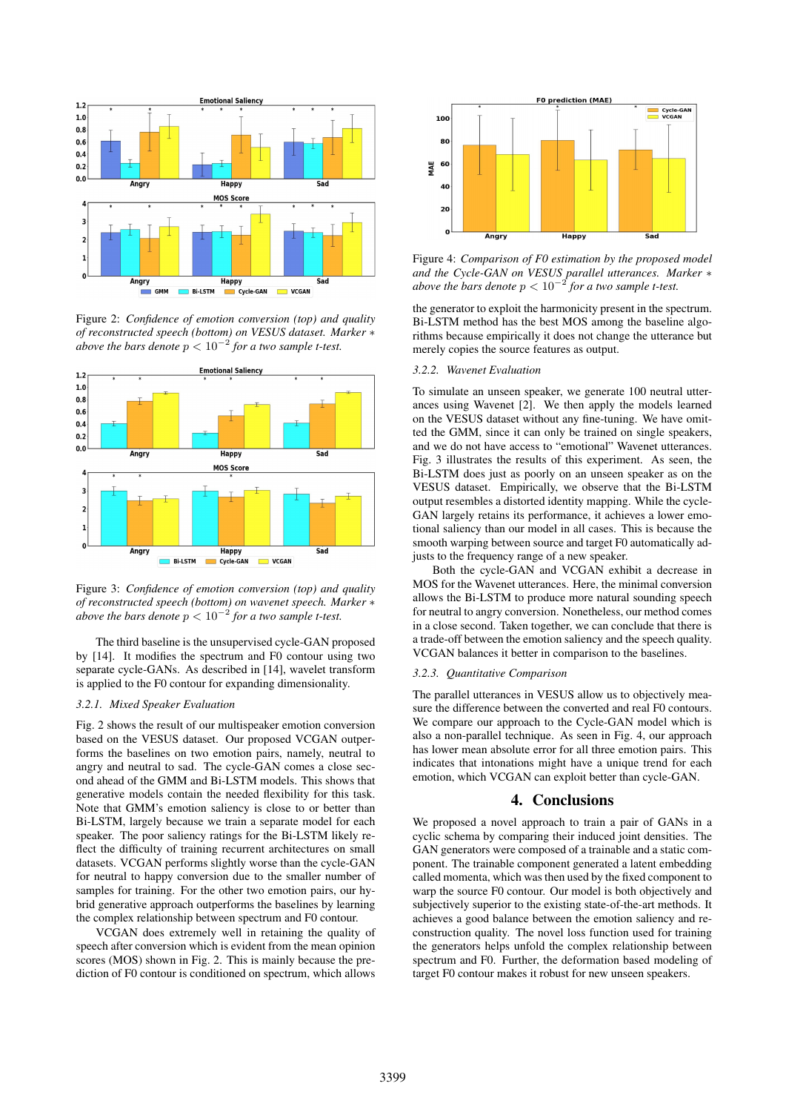

Figure 2: *Confidence of emotion conversion (top) and quality of reconstructed speech (bottom) on VESUS dataset. Marker* ∗ above the bars denote  $p < 10^{-2}$  for a two sample t-test.



Figure 3: *Confidence of emotion conversion (top) and quality of reconstructed speech (bottom) on wavenet speech. Marker* ∗ above the bars denote  $p < 10^{-2}$  for a two sample t-test.

The third baseline is the unsupervised cycle-GAN proposed by [14]. It modifies the spectrum and F0 contour using two separate cycle-GANs. As described in [14], wavelet transform is applied to the F0 contour for expanding dimensionality.

### *3.2.1. Mixed Speaker Evaluation*

Fig. 2 shows the result of our multispeaker emotion conversion based on the VESUS dataset. Our proposed VCGAN outperforms the baselines on two emotion pairs, namely, neutral to angry and neutral to sad. The cycle-GAN comes a close second ahead of the GMM and Bi-LSTM models. This shows that generative models contain the needed flexibility for this task. Note that GMM's emotion saliency is close to or better than Bi-LSTM, largely because we train a separate model for each speaker. The poor saliency ratings for the Bi-LSTM likely reflect the difficulty of training recurrent architectures on small datasets. VCGAN performs slightly worse than the cycle-GAN for neutral to happy conversion due to the smaller number of samples for training. For the other two emotion pairs, our hybrid generative approach outperforms the baselines by learning the complex relationship between spectrum and F0 contour.

VCGAN does extremely well in retaining the quality of speech after conversion which is evident from the mean opinion scores (MOS) shown in Fig. 2. This is mainly because the prediction of F0 contour is conditioned on spectrum, which allows



Figure 4: *Comparison of F0 estimation by the proposed model and the Cycle-GAN on VESUS parallel utterances. Marker* ∗ *above the bars denote* p < 10<sup>−</sup><sup>2</sup> *for a two sample t-test.*

the generator to exploit the harmonicity present in the spectrum. Bi-LSTM method has the best MOS among the baseline algorithms because empirically it does not change the utterance but merely copies the source features as output.

#### *3.2.2. Wavenet Evaluation*

To simulate an unseen speaker, we generate 100 neutral utterances using Wavenet [2]. We then apply the models learned on the VESUS dataset without any fine-tuning. We have omitted the GMM, since it can only be trained on single speakers, and we do not have access to "emotional" Wavenet utterances. Fig. 3 illustrates the results of this experiment. As seen, the Bi-LSTM does just as poorly on an unseen speaker as on the VESUS dataset. Empirically, we observe that the Bi-LSTM output resembles a distorted identity mapping. While the cycle-GAN largely retains its performance, it achieves a lower emotional saliency than our model in all cases. This is because the smooth warping between source and target F0 automatically adjusts to the frequency range of a new speaker.

Both the cycle-GAN and VCGAN exhibit a decrease in MOS for the Wavenet utterances. Here, the minimal conversion allows the Bi-LSTM to produce more natural sounding speech for neutral to angry conversion. Nonetheless, our method comes in a close second. Taken together, we can conclude that there is a trade-off between the emotion saliency and the speech quality. VCGAN balances it better in comparison to the baselines.

#### *3.2.3. Quantitative Comparison*

The parallel utterances in VESUS allow us to objectively measure the difference between the converted and real F0 contours. We compare our approach to the Cycle-GAN model which is also a non-parallel technique. As seen in Fig. 4, our approach has lower mean absolute error for all three emotion pairs. This indicates that intonations might have a unique trend for each emotion, which VCGAN can exploit better than cycle-GAN.

### 4. Conclusions

We proposed a novel approach to train a pair of GANs in a cyclic schema by comparing their induced joint densities. The GAN generators were composed of a trainable and a static component. The trainable component generated a latent embedding called momenta, which was then used by the fixed component to warp the source F0 contour. Our model is both objectively and subjectively superior to the existing state-of-the-art methods. It achieves a good balance between the emotion saliency and reconstruction quality. The novel loss function used for training the generators helps unfold the complex relationship between spectrum and F0. Further, the deformation based modeling of target F0 contour makes it robust for new unseen speakers.